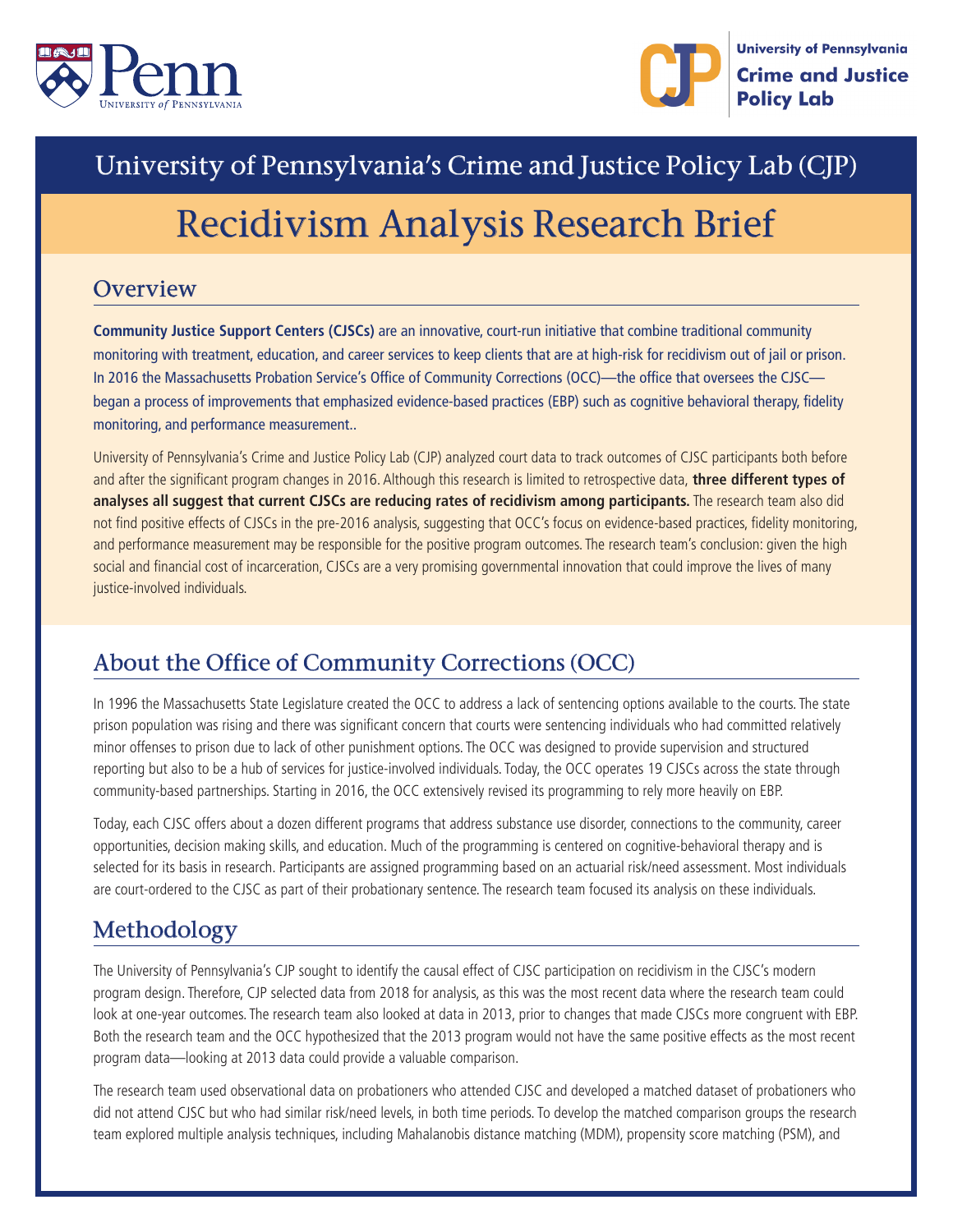



# University of Pennsylvania's Crime and Justice Policy Lab (CJP)

# Recidivism Analysis Research Brief

#### **Overview**

**Community Justice Support Centers (CJSCs)** are an innovative, court-run initiative that combine traditional community monitoring with treatment, education, and career services to keep clients that are at high-risk for recidivism out of jail or prison. In 2016 the Massachusetts Probation Service's Office of Community Corrections (OCC)—the office that oversees the CJSC began a process of improvements that emphasized evidence-based practices (EBP) such as cognitive behavioral therapy, fidelity monitoring, and performance measurement..

University of Pennsylvania's Crime and Justice Policy Lab (CJP) analyzed court data to track outcomes of CJSC participants both before and after the significant program changes in 2016. Although this research is limited to retrospective data, **three different types of analyses all suggest that current CJSCs are reducing rates of recidivism among participants.** The research team also did not find positive effects of CJSCs in the pre-2016 analysis, suggesting that OCC's focus on evidence-based practices, fidelity monitoring, and performance measurement may be responsible for the positive program outcomes. The research team's conclusion: given the high social and financial cost of incarceration, CJSCs are a very promising governmental innovation that could improve the lives of many justice-involved individuals.

### About the Office of Community Corrections (OCC)

In 1996 the Massachusetts State Legislature created the OCC to address a lack of sentencing options available to the courts. The state prison population was rising and there was significant concern that courts were sentencing individuals who had committed relatively minor offenses to prison due to lack of other punishment options. The OCC was designed to provide supervision and structured reporting but also to be a hub of services for justice-involved individuals. Today, the OCC operates 19 CJSCs across the state through community-based partnerships. Starting in 2016, the OCC extensively revised its programming to rely more heavily on EBP.

Today, each CJSC offers about a dozen different programs that address substance use disorder, connections to the community, career opportunities, decision making skills, and education. Much of the programming is centered on cognitive-behavioral therapy and is selected for its basis in research. Participants are assigned programming based on an actuarial risk/need assessment. Most individuals are court-ordered to the CJSC as part of their probationary sentence. The research team focused its analysis on these individuals.

### Methodology

The University of Pennsylvania's CJP sought to identify the causal effect of CJSC participation on recidivism in the CJSC's modern program design. Therefore, CJP selected data from 2018 for analysis, as this was the most recent data where the research team could look at one-year outcomes. The research team also looked at data in 2013, prior to changes that made CJSCs more congruent with EBP. Both the research team and the OCC hypothesized that the 2013 program would not have the same positive effects as the most recent program data—looking at 2013 data could provide a valuable comparison.

The research team used observational data on probationers who attended CJSC and developed a matched dataset of probationers who did not attend CJSC but who had similar risk/need levels, in both time periods. To develop the matched comparison groups the research team explored multiple analysis techniques, including Mahalanobis distance matching (MDM), propensity score matching (PSM), and